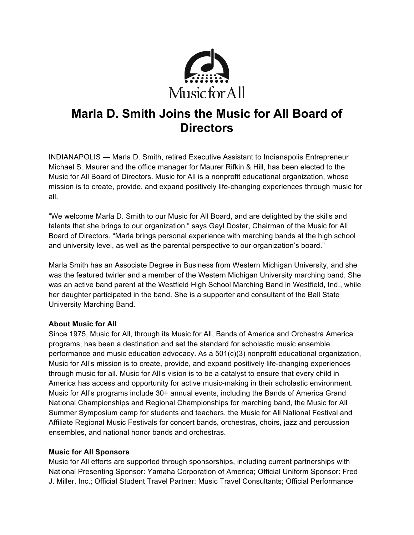

## **Marla D. Smith Joins the Music for All Board of Directors**

INDIANAPOLIS ― Marla D. Smith, retired Executive Assistant to Indianapolis Entrepreneur Michael S. Maurer and the office manager for Maurer Rifkin & Hill, has been elected to the Music for All Board of Directors. Music for All is a nonprofit educational organization, whose mission is to create, provide, and expand positively life-changing experiences through music for all.

"We welcome Marla D. Smith to our Music for All Board, and are delighted by the skills and talents that she brings to our organization." says Gayl Doster, Chairman of the Music for All Board of Directors. "Marla brings personal experience with marching bands at the high school and university level, as well as the parental perspective to our organization's board."

Marla Smith has an Associate Degree in Business from Western Michigan University, and she was the featured twirler and a member of the Western Michigan University marching band. She was an active band parent at the Westfield High School Marching Band in Westfield, Ind., while her daughter participated in the band. She is a supporter and consultant of the Ball State University Marching Band.

## **About Music for All**

Since 1975, Music for All, through its Music for All, Bands of America and Orchestra America programs, has been a destination and set the standard for scholastic music ensemble performance and music education advocacy. As a 501(c)(3) nonprofit educational organization, Music for All's mission is to create, provide, and expand positively life-changing experiences through music for all. Music for All's vision is to be a catalyst to ensure that every child in America has access and opportunity for active music-making in their scholastic environment. Music for All's programs include 30+ annual events, including the Bands of America Grand National Championships and Regional Championships for marching band, the Music for All Summer Symposium camp for students and teachers, the Music for All National Festival and Affiliate Regional Music Festivals for concert bands, orchestras, choirs, jazz and percussion ensembles, and national honor bands and orchestras.

## **Music for All Sponsors**

Music for All efforts are supported through sponsorships, including current partnerships with National Presenting Sponsor: Yamaha Corporation of America; Official Uniform Sponsor: Fred J. Miller, Inc.; Official Student Travel Partner: Music Travel Consultants; Official Performance